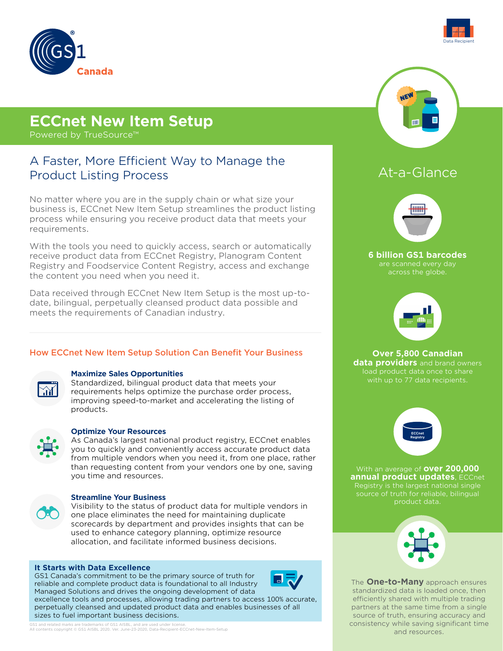

# **ECCnet New Item Setup**

Powered by TrueSource™

## A Faster, More Efficient Way to Manage the Product Listing Process

No matter where you are in the supply chain or what size your business is, ECCnet New Item Setup streamlines the product listing process while ensuring you receive product data that meets your requirements.

With the tools you need to quickly access, search or automatically receive product data from ECCnet Registry, Planogram Content Registry and Foodservice Content Registry, access and exchange the content you need when you need it.

Data received through ECCnet New Item Setup is the most up-todate, bilingual, perpetually cleansed product data possible and meets the requirements of Canadian industry.

## How ECCnet New Item Setup Solution Can Benefit Your Business



## **Maximize Sales Opportunities**

Standardized, bilingual product data that meets your requirements helps optimize the purchase order process, improving speed-to-market and accelerating the listing of products.



## **Optimize Your Resources**

As Canada's largest national product registry, ECCnet enables you to quickly and conveniently access accurate product data from multiple vendors when you need it, from one place, rather than requesting content from your vendors one by one, saving you time and resources.



### **Streamline Your Business**

Visibility to the status of product data for multiple vendors in one place eliminates the need for maintaining duplicate scorecards by department and provides insights that can be used to enhance category planning, optimize resource allocation, and facilitate informed business decisions.

### **It Starts with Data Excellence**

GS1 Canada's commitment to be the primary source of truth for reliable and complete product data is foundational to all Industry Managed Solutions and drives the ongoing development of data excellence tools and processes, allowing trading partners to access 100% accurate, perpetually cleansed and updated product data and enables businesses of all sizes to fuel important business decisions.



GS1 and related marks are trademarks of GS1 AISBL, and are used under license.<br>All contents copyright © GS1 AISBL 2020. Ver. June-23-2020, Data-Recipient-ECCnet-New-Item-Setup



## At-a-Glance



**6 billion GS1 barcodes**  across the globe.



**Over 5,800 Canadian data providers** and brand owners load product data once to share with up to 77 data recipients.



With an average of **over 200,000 annual product updates**, ECCnet Registry is the largest national single source of truth for reliable, bilingual product data.



The **One-to-Many** approach ensures standardized data is loaded once, then efficiently shared with multiple trading partners at the same time from a single source of truth, ensuring accuracy and consistency while saving significant time and resources.